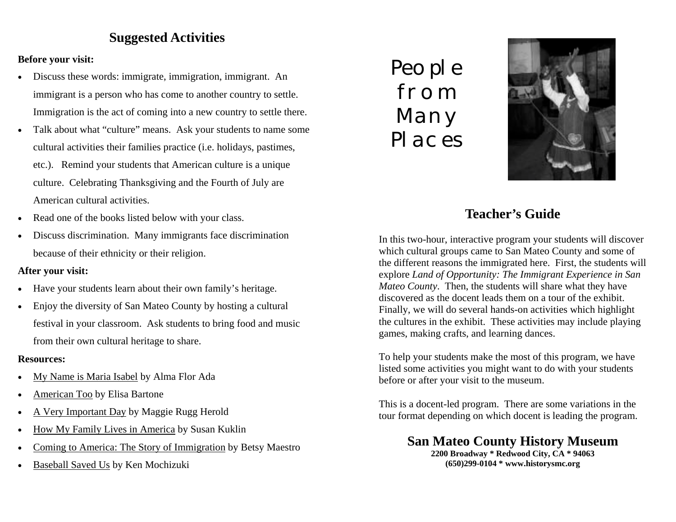# **Suggested Activities**

# **Before your visit:**

- Discuss these words: immigrate, immigration, immigrant. An immigrant is a person who has come to another country to settle. Immigration is the act of coming into a new country to settle there.
- Talk about what "culture" means. Ask your students to name some cultural activities their families practice (i.e. holidays, pastimes, etc.). Remind your students that American culture is a unique culture. Celebrating Thanksgiving and the Fourth of July are American cultural activities.
- Read one of the books listed below with your class.
- Discuss discrimination. Many immigrants face discrimination because of their ethnicity or their religion.

# **After your visit:**

- Have your students learn about their own family's heritage.
- Enjoy the diversity of San Mateo County by hosting a cultural festival in your classroom. Ask students to bring food and music from their own cultural heritage to share.

### **Resources:**

- My Name is Maria Isabel by Alma Flor Ada
- American Too by Elisa Bartone
- A Very Important Day by Maggie Rugg Herold
- How My Family Lives in America by Susan Kuklin
- Coming to America: The Story of Immigration by Betsy Maestro
- Baseball Saved Us by Ken Mochizuki

People from Many Places



# **Teacher's Guide**

In this two-hour, interactive program your students will discover which cultural groups came to San Mateo County and some of the different reasons the immigrated here. First, the students will explore *Land of Opportunity: The Immigrant Experience in San Mateo County*. Then, the students will share what they have discovered as the docent leads them on a tour of the exhibit. Finally, we will do several hands-on activities which highlight the cultures in the exhibit. These activities may include playing games, making crafts, and learning dances.

To help your students make the most of this program, we have listed some activities you might want to do with your students before or after your visit to the museum.

This is a docent-led program. There are some variations in the tour format depending on which docent is leading the program.

# **San Mateo County History Museum**

**2200 Broadway \* Redwood City, CA \* 94063 (650)299-0104 \* www.historysmc.org**